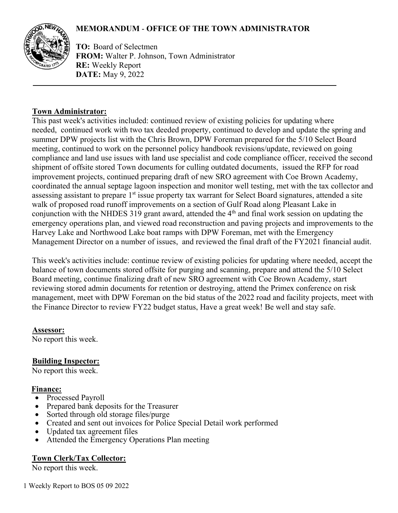# **MEMORANDUM** - **OFFICE OF THE TOWN ADMINISTRATOR**



**TO:** Board of Selectmen **FROM:** Walter P. Johnson, Town Administrator **RE:** Weekly Report **DATE:** May 9, 2022

### **Town Administrator:**

This past week's activities included: continued review of existing policies for updating where needed, continued work with two tax deeded property, continued to develop and update the spring and summer DPW projects list with the Chris Brown, DPW Foreman prepared for the 5/10 Select Board meeting, continued to work on the personnel policy handbook revisions/update, reviewed on going compliance and land use issues with land use specialist and code compliance officer, received the second shipment of offsite stored Town documents for culling outdated documents, issued the RFP for road improvement projects, continued preparing draft of new SRO agreement with Coe Brown Academy, coordinated the annual septage lagoon inspection and monitor well testing, met with the tax collector and assessing assistant to prepare 1<sup>st</sup> issue property tax warrant for Select Board signatures, attended a site walk of proposed road runoff improvements on a section of Gulf Road along Pleasant Lake in conjunction with the NHDES 319 grant award, attended the  $4<sup>th</sup>$  and final work session on updating the emergency operations plan, and viewed road reconstruction and paving projects and improvements to the Harvey Lake and Northwood Lake boat ramps with DPW Foreman, met with the Emergency Management Director on a number of issues, and reviewed the final draft of the FY2021 financial audit.

This week's activities include: continue review of existing policies for updating where needed, accept the balance of town documents stored offsite for purging and scanning, prepare and attend the 5/10 Select Board meeting, continue finalizing draft of new SRO agreement with Coe Brown Academy, start reviewing stored admin documents for retention or destroying, attend the Primex conference on risk management, meet with DPW Foreman on the bid status of the 2022 road and facility projects, meet with the Finance Director to review FY22 budget status, Have a great week! Be well and stay safe.

### **Assessor:**

No report this week.

#### **Building Inspector:**

No report this week.

#### **Finance:**

- Processed Payroll
- Prepared bank deposits for the Treasurer
- Sorted through old storage files/purge
- Created and sent out invoices for Police Special Detail work performed
- Updated tax agreement files
- Attended the Emergency Operations Plan meeting

#### **Town Clerk/Tax Collector:**

No report this week.

1 Weekly Report to BOS 05 09 2022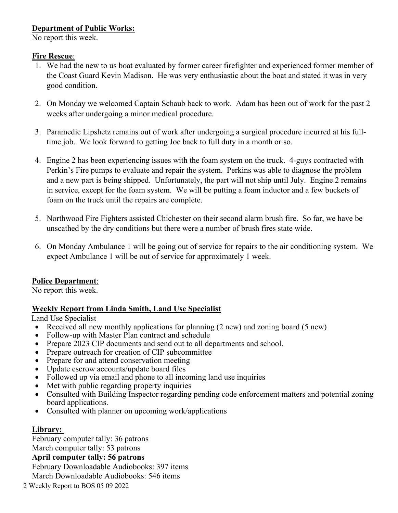## **Department of Public Works:**

No report this week.

### **Fire Rescue**:

- 1. We had the new to us boat evaluated by former career firefighter and experienced former member of the Coast Guard Kevin Madison. He was very enthusiastic about the boat and stated it was in very good condition.
- 2. On Monday we welcomed Captain Schaub back to work. Adam has been out of work for the past 2 weeks after undergoing a minor medical procedure.
- 3. Paramedic Lipshetz remains out of work after undergoing a surgical procedure incurred at his fulltime job. We look forward to getting Joe back to full duty in a month or so.
- 4. Engine 2 has been experiencing issues with the foam system on the truck. 4-guys contracted with Perkin's Fire pumps to evaluate and repair the system. Perkins was able to diagnose the problem and a new part is being shipped. Unfortunately, the part will not ship until July. Engine 2 remains in service, except for the foam system. We will be putting a foam inductor and a few buckets of foam on the truck until the repairs are complete.
- 5. Northwood Fire Fighters assisted Chichester on their second alarm brush fire. So far, we have be unscathed by the dry conditions but there were a number of brush fires state wide.
- 6. On Monday Ambulance 1 will be going out of service for repairs to the air conditioning system. We expect Ambulance 1 will be out of service for approximately 1 week.

# **Police Department**:

No report this week.

### **Weekly Report from Linda Smith, Land Use Specialist**

Land Use Specialist

- Received all new monthly applications for planning (2 new) and zoning board (5 new)
- Follow-up with Master Plan contract and schedule
- Prepare 2023 CIP documents and send out to all departments and school.
- Prepare outreach for creation of CIP subcommittee
- Prepare for and attend conservation meeting
- Update escrow accounts/update board files
- Followed up via email and phone to all incoming land use inquiries
- Met with public regarding property inquiries
- Consulted with Building Inspector regarding pending code enforcement matters and potential zoning board applications.
- Consulted with planner on upcoming work/applications

### **Library:**

February computer tally: 36 patrons March computer tally: 53 patrons **April computer tally: 56 patrons**  February Downloadable Audiobooks: 397 items March Downloadable Audiobooks: 546 items

2 Weekly Report to BOS 05 09 2022